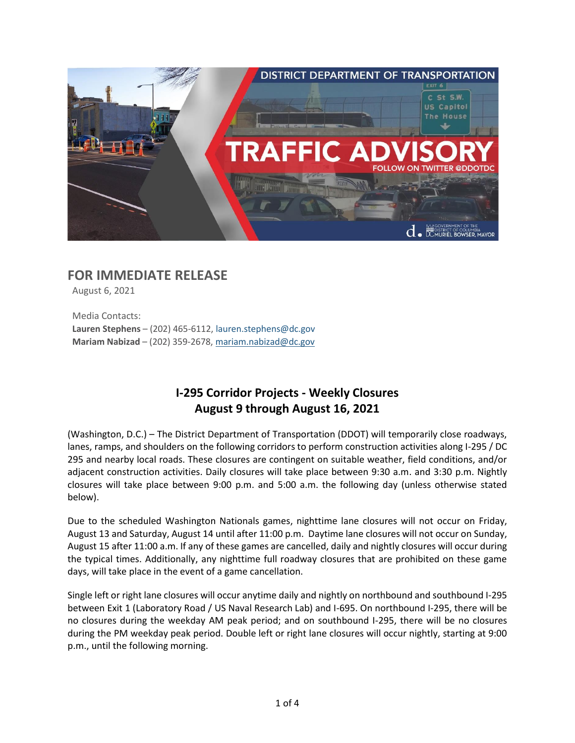

# **FOR IMMEDIATE RELEASE**

August 6, 2021

Media Contacts: **Lauren Stephens** – (202) 465-6112[, lauren.stephens@dc.gov](mailto:lauren.stephens@dc.gov) **Mariam Nabizad** – (202) 359-2678, [mariam.nabizad@dc.gov](mailto:mariam.nabizad@dc.gov)

## **I-295 Corridor Projects - Weekly Closures August 9 through August 16, 2021**

(Washington, D.C.) – The District Department of Transportation (DDOT) will temporarily close roadways, lanes, ramps, and shoulders on the following corridors to perform construction activities along I-295 / DC 295 and nearby local roads. These closures are contingent on suitable weather, field conditions, and/or adjacent construction activities. Daily closures will take place between 9:30 a.m. and 3:30 p.m. Nightly closures will take place between 9:00 p.m. and 5:00 a.m. the following day (unless otherwise stated below).

Due to the scheduled Washington Nationals games, nighttime lane closures will not occur on Friday, August 13 and Saturday, August 14 until after 11:00 p.m. Daytime lane closures will not occur on Sunday, August 15 after 11:00 a.m. If any of these games are cancelled, daily and nightly closures will occur during the typical times. Additionally, any nighttime full roadway closures that are prohibited on these game days, will take place in the event of a game cancellation.

Single left or right lane closures will occur anytime daily and nightly on northbound and southbound I-295 between Exit 1 (Laboratory Road / US Naval Research Lab) and I-695. On northbound I-295, there will be no closures during the weekday AM peak period; and on southbound I-295, there will be no closures during the PM weekday peak period. Double left or right lane closures will occur nightly, starting at 9:00 p.m., until the following morning.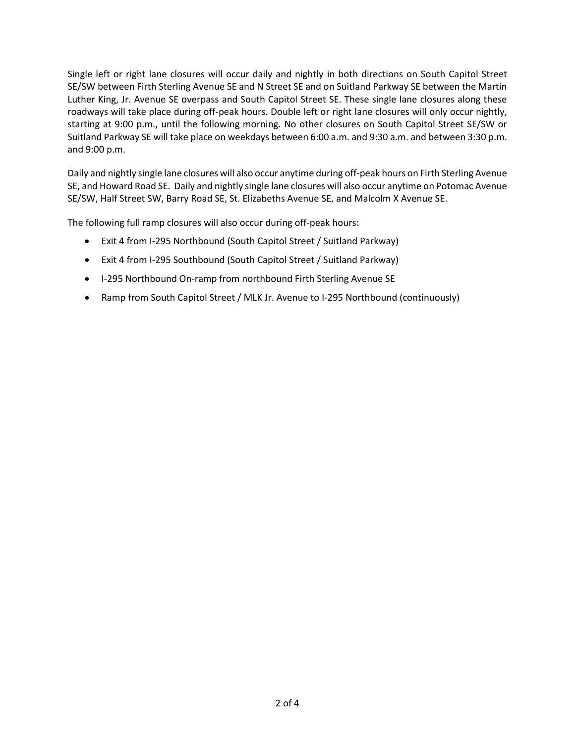Single left or right lane closures will occur daily and nightly in both directions on South Capitol Street SE/SW between Firth Sterling Avenue SE and N Street SE and on Suitland Parkway SE between the Martin Luther King, Jr. Avenue SE overpass and South Capitol Street SE. These single lane closures along these roadways will take place during off-peak hours. Double left or right lane closures will only occur nightly, starting at 9:00 p.m., until the following morning. No other closures on South Capitol Street SE/SW or Suitland Parkway SE will take place on weekdays between 6:00 a.m. and 9:30 a.m. and between 3:30 p.m. and 9:00 p.m.

Daily and nightly single lane closures will also occur anytime during off-peak hours on Firth Sterling Avenue SE, and Howard Road SE. Daily and nightly single lane closures will also occur anytime on Potomac Avenue SE/SW, Half Street SW, Barry Road SE, St. Elizabeths Avenue SE, and Malcolm X Avenue SE.

The following full ramp closures will also occur during off-peak hours:

- Exit 4 from I-295 Northbound (South Capitol Street / Suitland Parkway)
- Exit 4 from I-295 Southbound (South Capitol Street / Suitland Parkway)
- I-295 Northbound On-ramp from northbound Firth Sterling Avenue SE
- Ramp from South Capitol Street / MLK Jr. Avenue to I-295 Northbound (continuously)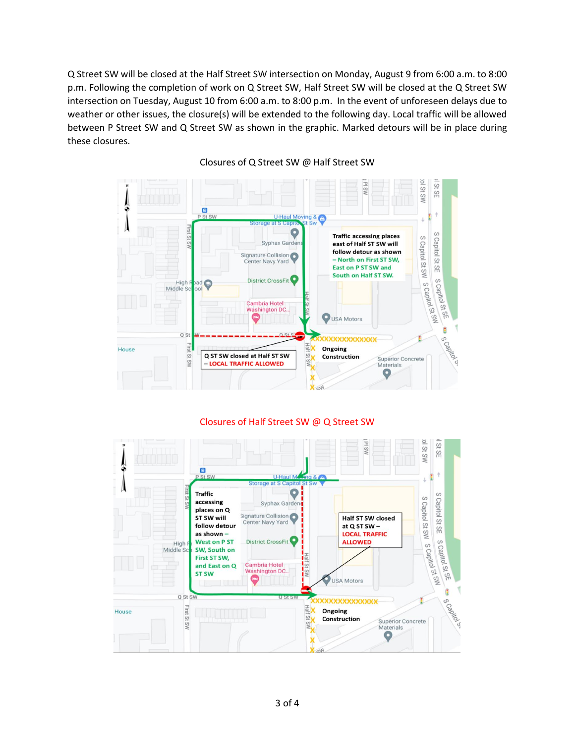Q Street SW will be closed at the Half Street SW intersection on Monday, August 9 from 6:00 a.m. to 8:00 p.m. Following the completion of work on Q Street SW, Half Street SW will be closed at the Q Street SW intersection on Tuesday, August 10 from 6:00 a.m. to 8:00 p.m. In the event of unforeseen delays due to weather or other issues, the closure(s) will be extended to the following day. Local traffic will be allowed between P Street SW and Q Street SW as shown in the graphic. Marked detours will be in place during these closures.



#### Closures of Q Street SW @ Half Street SW

#### Closures of Half Street SW @ Q Street SW